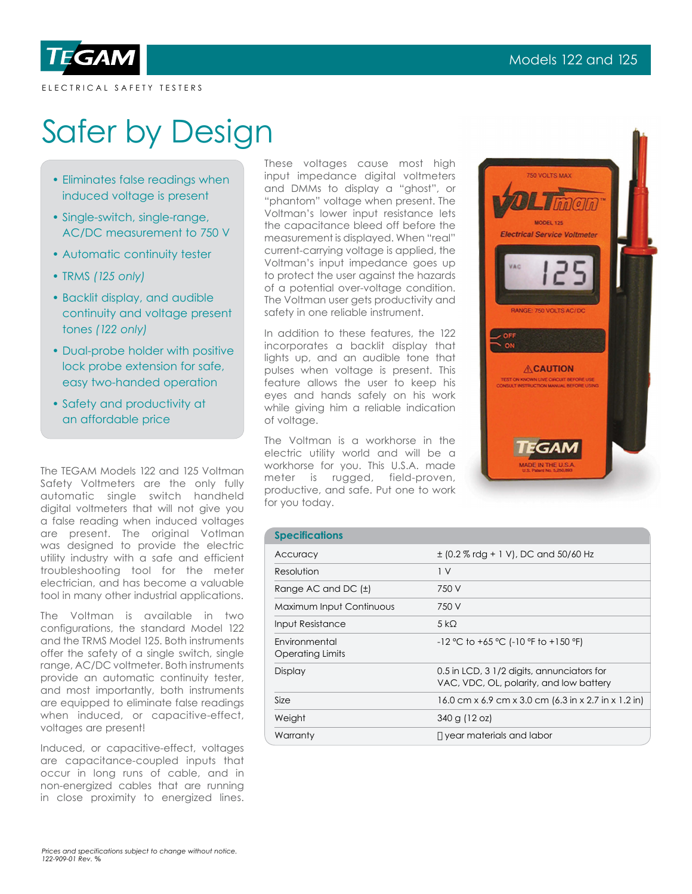

ELECTRICAL SAFETY TESTERS

# Safer by Design

- Eliminates false readings when induced voltage is present
- Single-switch, single-range, AC/DC measurement to 750 V
- Automatic continuity tester
- TRMS *(125 only)*
- Backlit display, and audible continuity and voltage present tones *(122 only)*
- Dual-probe holder with positive lock probe extension for safe, easy two-handed operation
- Safety and productivity at an affordable price

The TEGAM Models 122 and 125 Voltman Safety Voltmeters are the only fully automatic single switch handheld digital voltmeters that will not give you a false reading when induced voltages are present. The original Votlman was designed to provide the electric utility industry with a safe and efficient troubleshooting tool for the meter electrician, and has become a valuable tool in many other industrial applications.

The Voltman is available in two configurations, the standard Model 122 and the TRMS Model 125. Both instruments offer the safety of a single switch, single range, AC/DC voltmeter. Both instruments provide an automatic continuity tester, and most importantly, both instruments are equipped to eliminate false readings when induced, or capacitive-effect, voltages are present!

Induced, or capacitive-effect, voltages are capacitance-coupled inputs that occur in long runs of cable, and in non-energized cables that are running in close proximity to energized lines.

These voltages cause most high input impedance digital voltmeters and DMMs to display a "ghost", or "phantom" voltage when present. The Voltman's lower input resistance lets the capacitance bleed off before the measurement is displayed. When "real" current-carrying voltage is applied, the Voltman's input impedance goes up to protect the user against the hazards of a potential over-voltage condition. The Voltman user gets productivity and safety in one reliable instrument.

In addition to these features, the 122 incorporates a backlit display that lights up, and an audible tone that pulses when voltage is present. This feature allows the user to keep his eyes and hands safely on his work while giving him a reliable indication of voltage.

The Voltman is a workhorse in the electric utility world and will be a workhorse for you. This U.S.A. made meter is rugged, field-proven, productive, and safe. Put one to work for you today.



| <b>Specifications</b>             |                                                                                       |
|-----------------------------------|---------------------------------------------------------------------------------------|
| Accuracy                          | $\pm$ (0.2 % rdg + 1 V), DC and 50/60 Hz                                              |
| Resolution                        | 1 <sup>V</sup>                                                                        |
| Range AC and DC $(\pm)$           | 750 V                                                                                 |
| Maximum Input Continuous          | 750 V                                                                                 |
| Input Resistance                  | 5 kQ                                                                                  |
| Environmental<br>Operating Limits | $-12$ °C to +65 °C (-10 °F to +150 °F)                                                |
| Display                           | 0.5 in LCD, 3 1/2 digits, annunciators for<br>VAC, VDC, OL, polarity, and low battery |
| Size                              | 16.0 cm x 6.9 cm x 3.0 cm (6.3 in x 2.7 in x 1.2 in)                                  |
| Weight                            | 340 g (12 oz)                                                                         |
| Warranty                          | 'year materials and labor                                                             |